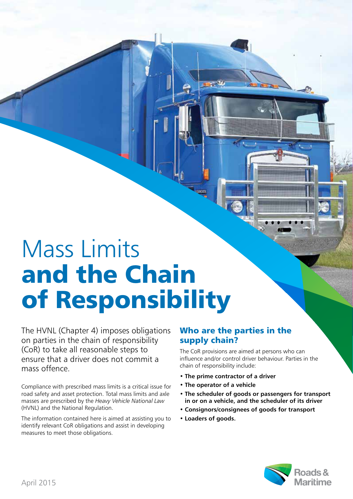## Mass Limits **and the Chain of Responsibility**

The HVNL (Chapter 4) imposes obligations on parties in the chain of responsibility (CoR) to take all reasonable steps to ensure that a driver does not commit a mass offence.

Compliance with prescribed mass limits is a critical issue for road safety and asset protection. Total mass limits and axle masses are prescribed by the *Heavy Vehicle National Law* (HVNL) and the National Regulation.

The information contained here is aimed at assisting you to identify relevant CoR obligations and assist in developing measures to meet those obligations.

## **Who are the parties in the supply chain?**

The CoR provisions are aimed at persons who can influence and/or control driver behaviour. Parties in the chain of responsibility include:

- The prime contractor of a driver
- The operator of a vehicle
- The scheduler of goods or passengers for transport in or on a vehicle, and the scheduler of its driver
- Consignors/consignees of goods for transport
- Loaders of goods.